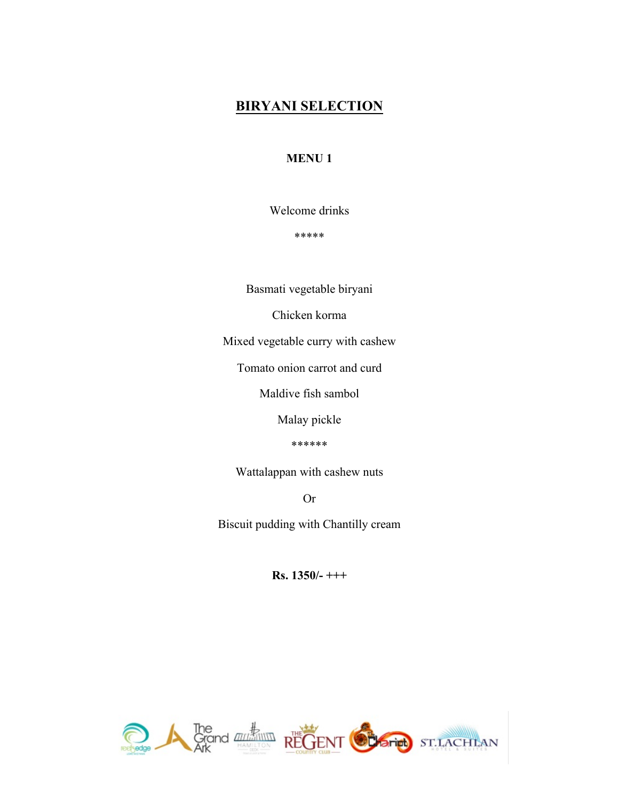### **BIRYANI SELECTION**

#### **MENU 1**

Welcome drinks

\*\*\*\*\*

Basmati vegetable biryani

Chicken korma

Mixed vegetable curry with cashew

Tomato onion carrot and curd

Maldive fish sambol

Malay pickle

\*\*\*\*\*\*

Wattalappan with cashew nuts

Or

Biscuit pudding with Chantilly cream

**Rs. 1350/- +++**

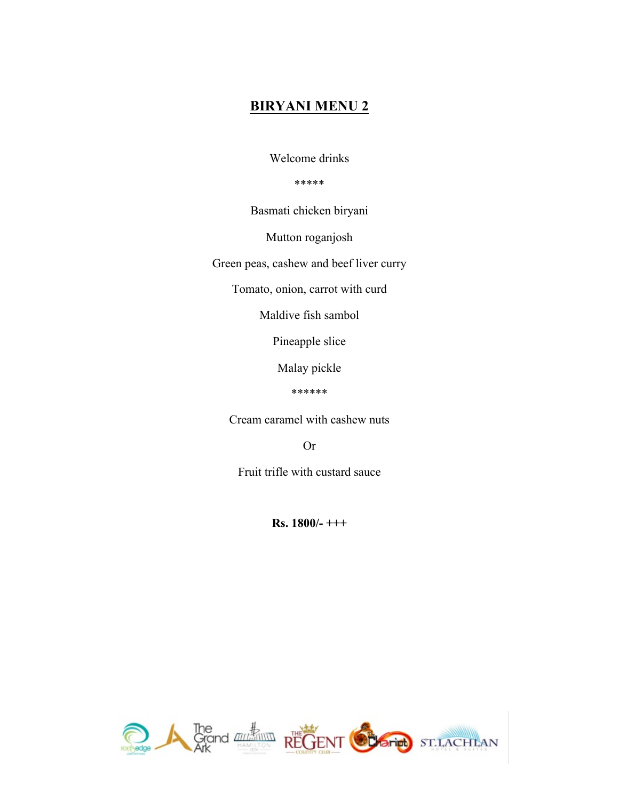#### **BIRYANI MENU 2**

Welcome drinks

\*\*\*\*\*

Basmati chicken biryani

Mutton roganjosh

Green peas, cashew and beef liver curry

Tomato, onion, carrot with curd

Maldive fish sambol

Pineapple slice

Malay pickle

\*\*\*\*\*\*

Cream caramel with cashew nuts

Or

Fruit trifle with custard sauce

**Rs. 1800/- +++**

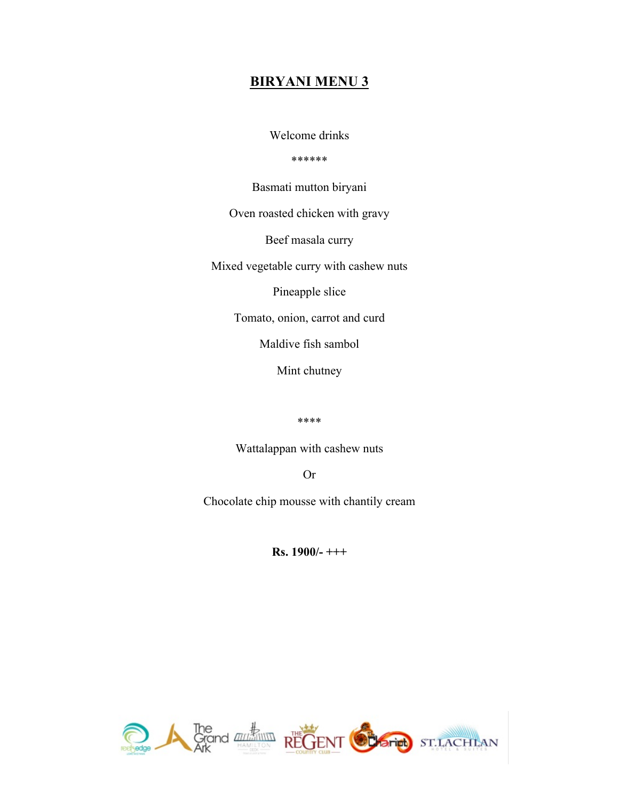#### **BIRYANI MENU 3**

Welcome drinks

\*\*\*\*\*\*

Basmati mutton biryani

Oven roasted chicken with gravy

Beef masala curry

Mixed vegetable curry with cashew nuts

Pineapple slice

Tomato, onion, carrot and curd

Maldive fish sambol

Mint chutney

\*\*\*\*

Wattalappan with cashew nuts

Or

Chocolate chip mousse with chantily cream

**Rs. 1900/- +++**